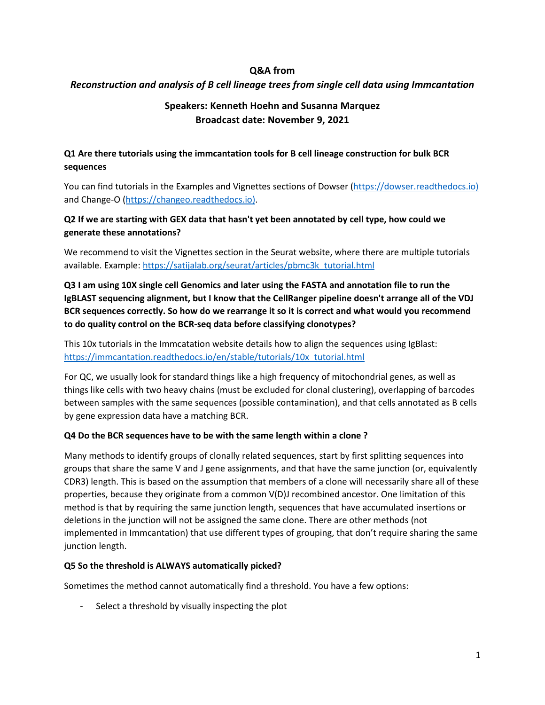## **Q&A from**

## *Reconstruction and analysis of B cell lineage trees from single cell data using Immcantation*

# **Speakers: Kenneth Hoehn and Susanna Marquez Broadcast date: November 9, 2021**

## **Q1 Are there tutorials using the immcantation tools for B cell lineage construction for bulk BCR sequences**

You can find tutorials in the Examples and Vignettes sections of Dowser (https://dowser.readthedocs.io) and Change-O (https://changeo.readthedocs.io).

## **Q2 If we are starting with GEX data that hasn't yet been annotated by cell type, how could we generate these annotations?**

We recommend to visit the Vignettes section in the Seurat website, where there are multiple tutorials available. Example: [https://satijalab.org/seurat/articles/pbmc3k\\_tutorial.html](https://satijalab.org/seurat/articles/pbmc3k_tutorial.html)

**Q3 I am using 10X single cell Genomics and later using the FASTA and annotation file to run the IgBLAST sequencing alignment, but I know that the CellRanger pipeline doesn't arrange all of the VDJ BCR sequences correctly. So how do we rearrange it so it is correct and what would you recommend to do quality control on the BCR-seq data before classifying clonotypes?**

This 10x tutorials in the Immcatation website details how to align the sequences using IgBlast: [https://immcantation.readthedocs.io/en/stable/tutorials/10x\\_tutorial.html](https://immcantation.readthedocs.io/en/stable/tutorials/10x_tutorial.html)

For QC, we usually look for standard things like a high frequency of mitochondrial genes, as well as things like cells with two heavy chains (must be excluded for clonal clustering), overlapping of barcodes between samples with the same sequences (possible contamination), and that cells annotated as B cells by gene expression data have a matching BCR.

## **Q4 Do the BCR sequences have to be with the same length within a clone ?**

Many methods to identify groups of clonally related sequences, start by first splitting sequences into groups that share the same V and J gene assignments, and that have the same junction (or, equivalently CDR3) length. This is based on the assumption that members of a clone will necessarily share all of these properties, because they originate from a common V(D)J recombined ancestor. One limitation of this method is that by requiring the same junction length, sequences that have accumulated insertions or deletions in the junction will not be assigned the same clone. There are other methods (not implemented in Immcantation) that use different types of grouping, that don't require sharing the same junction length.

## **Q5 So the threshold is ALWAYS automatically picked?**

Sometimes the method cannot automatically find a threshold. You have a few options:

Select a threshold by visually inspecting the plot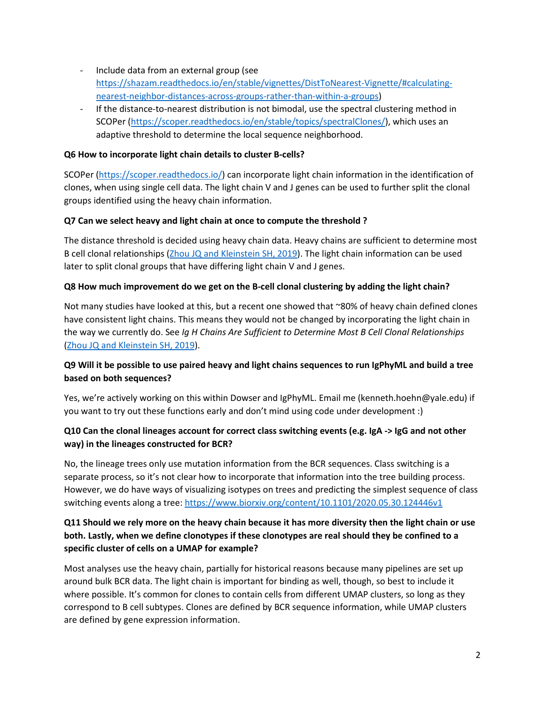- Include data from an external group (see [https://shazam.readthedocs.io/en/stable/vignettes/DistToNearest-Vignette/#calculating](https://shazam.readthedocs.io/en/stable/vignettes/DistToNearest-Vignette/#calculating-nearest-neighbor-distances-across-groups-rather-than-within-a-groups)[nearest-neighbor-distances-across-groups-rather-than-within-a-groups\)](https://shazam.readthedocs.io/en/stable/vignettes/DistToNearest-Vignette/#calculating-nearest-neighbor-distances-across-groups-rather-than-within-a-groups)
- If the distance-to-nearest distribution is not bimodal, use the spectral clustering method in SCOPer [\(https://scoper.readthedocs.io/en/stable/topics/spectralClones/\)](https://scoper.readthedocs.io/en/stable/topics/spectralClones/), which uses an adaptive threshold to determine the local sequence neighborhood.

#### **Q6 How to incorporate light chain details to cluster B-cells?**

SCOPer [\(https://scoper.readthedocs.io/\)](https://scoper.readthedocs.io/) can incorporate light chain information in the identification of clones, when using single cell data. The light chain V and J genes can be used to further split the clonal groups identified using the heavy chain information.

#### **Q7 Can we select heavy and light chain at once to compute the threshold ?**

The distance threshold is decided using heavy chain data. Heavy chains are sufficient to determine most B cell clonal relationships [\(Zhou JQ and Kleinstein SH, 2019\)](https://pubmed.ncbi.nlm.nih.gov/31484734/). The light chain information can be used later to split clonal groups that have differing light chain V and J genes.

#### **Q8 How much improvement do we get on the B-cell clonal clustering by adding the light chain?**

Not many studies have looked at this, but a recent one showed that ~80% of heavy chain defined clones have consistent light chains. This means they would not be changed by incorporating the light chain in the way we currently do. See *Ig H Chains Are Sufficient to Determine Most B Cell Clonal Relationships*  [\(Zhou JQ and Kleinstein SH, 2019\)](https://pubmed.ncbi.nlm.nih.gov/31484734/).

## **Q9 Will it be possible to use paired heavy and light chains sequences to run IgPhyML and build a tree based on both sequences?**

Yes, we're actively working on this within Dowser and IgPhyML. Email me (kenneth.hoehn@yale.edu) if you want to try out these functions early and don't mind using code under development :)

## **Q10 Can the clonal lineages account for correct class switching events (e.g. IgA -> IgG and not other way) in the lineages constructed for BCR?**

No, the lineage trees only use mutation information from the BCR sequences. Class switching is a separate process, so it's not clear how to incorporate that information into the tree building process. However, we do have ways of visualizing isotypes on trees and predicting the simplest sequence of class switching events along a tree[: https://www.biorxiv.org/content/10.1101/2020.05.30.124446v1](https://www.biorxiv.org/content/10.1101/2020.05.30.124446v1)

## **Q11 Should we rely more on the heavy chain because it has more diversity then the light chain or use both. Lastly, when we define clonotypes if these clonotypes are real should they be confined to a specific cluster of cells on a UMAP for example?**

Most analyses use the heavy chain, partially for historical reasons because many pipelines are set up around bulk BCR data. The light chain is important for binding as well, though, so best to include it where possible. It's common for clones to contain cells from different UMAP clusters, so long as they correspond to B cell subtypes. Clones are defined by BCR sequence information, while UMAP clusters are defined by gene expression information.